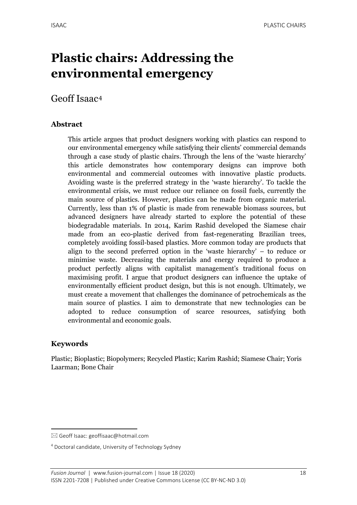# **Plastic chairs: Addressing the environmental emergency**

Geoff Isaac[4](#page-0-0)

#### **Abstract**

This article argues that product designers working with plastics can respond to our environmental emergency while satisfying their clients' commercial demands through a case study of plastic chairs. Through the lens of the 'waste hierarchy' this article demonstrates how contemporary designs can improve both environmental and commercial outcomes with innovative plastic products. Avoiding waste is the preferred strategy in the 'waste hierarchy'. To tackle the environmental crisis, we must reduce our reliance on fossil fuels, currently the main source of plastics. However, plastics can be made from organic material. Currently, less than 1% of plastic is made from renewable biomass sources, but advanced designers have already started to explore the potential of these biodegradable materials. In 2014, Karim Rashid developed the Siamese chair made from an eco-plastic derived from fast-regenerating Brazilian trees, completely avoiding fossil-based plastics. More common today are products that align to the second preferred option in the 'waste hierarchy' – to reduce or minimise waste. Decreasing the materials and energy required to produce a product perfectly aligns with capitalist management's traditional focus on maximising profit. I argue that product designers can influence the uptake of environmentally efficient product design, but this is not enough. Ultimately, we must create a movement that challenges the dominance of petrochemicals as the main source of plastics. I aim to demonstrate that new technologies can be adopted to reduce consumption of scarce resources, satisfying both environmental and economic goals.

#### **Keywords**

Plastic; Bioplastic; Biopolymers; Recycled Plastic; Karim Rashid; Siamese Chair; Yoris Laarman; Bone Chair

<span id="page-0-0"></span>Geoff Isaac: geoffisaac@hotmail.com

<sup>4</sup> Doctoral candidate, University of Technology Sydney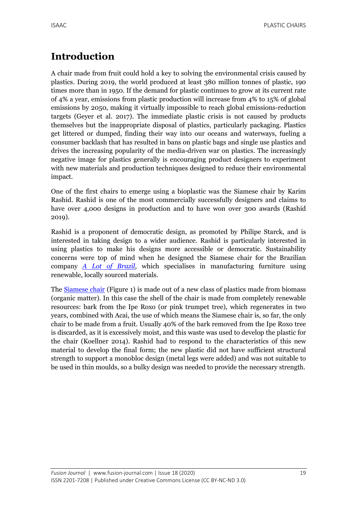## **Introduction**

A chair made from fruit could hold a key to solving the environmental crisis caused by plastics. During 2019, the world produced at least 380 million tonnes of plastic, 190 times more than in 1950. If the demand for plastic continues to grow at its current rate of 4% a year, emissions from plastic production will increase from 4% to 15% of global emissions by 2050, making it virtually impossible to reach global emissions-reduction targets (Geyer et al. 2017). The immediate plastic crisis is not caused by products themselves but the inappropriate disposal of plastics, particularly packaging. Plastics get littered or dumped, finding their way into our oceans and waterways, fueling a consumer backlash that has resulted in bans on plastic bags and single use plastics and drives the increasing popularity of the media-driven war on plastics. The increasingly negative image for plastics generally is encouraging product designers to experiment with new materials and production techniques designed to reduce their environmental impact.

One of the first chairs to emerge using a bioplastic was the Siamese chair by Karim Rashid. Rashid is one of the most commercially successfully designers and claims to have over 4,000 designs in production and to have won over 300 awards (Rashid 2019).

Rashid is a proponent of democratic design, as promoted by Philipe Starck, and is interested in taking design to a wider audience. Rashid is particularly interested in using plastics to make his designs more accessible or democratic. Sustainability concerns were top of mind when he designed the Siamese chair for the Brazilian company *[A Lot of Brazil,](https://www.alotofbrasil.com.br/)* which specialises in manufacturing furniture using renewable, locally sourced materials.

The **Siamese chair** (Figure 1) is made out of a new class of plastics made from biomass (organic matter). In this case the shell of the chair is made from completely renewable resources: bark from the Ipe Roxo (or pink trumpet tree), which regenerates in two years, combined with Acai, the use of which means the Siamese chair is, so far, the only chair to be made from a fruit. Usually 40% of the bark removed from the Ipe Roxo tree is discarded, as it is excessively moist, and this waste was used to develop the plastic for the chair (Koellner 2014). Rashid had to respond to the characteristics of this new material to develop the final form; the new plastic did not have sufficient structural strength to support a monobloc design (metal legs were added) and was not suitable to be used in thin moulds, so a bulky design was needed to provide the necessary strength.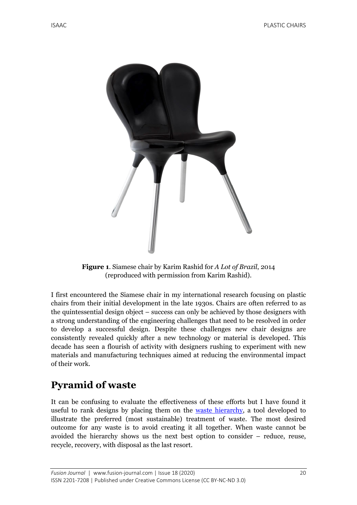

**Figure 1**. Siamese chair by Karim Rashid for *A Lot of Brazil*, 2014 (reproduced with permission from Karim Rashid).

I first encountered the Siamese chair in my international research focusing on plastic chairs from their initial development in the late 1930s. Chairs are often referred to as the quintessential design object – success can only be achieved by those designers with a strong understanding of the engineering challenges that need to be resolved in order to develop a successful design. Despite these challenges new chair designs are consistently revealed quickly after a new technology or material is developed. This decade has seen a flourish of activity with designers rushing to experiment with new materials and manufacturing techniques aimed at reducing the environmental impact of their work.

## **Pyramid of waste**

It can be confusing to evaluate the effectiveness of these efforts but I have found it useful to rank designs by placing them on the [waste hierarchy,](https://www.epa.nsw.gov.au/your-environment/recycling-and-reuse/warr-strategy/the-waste-hierarchy) a tool developed to illustrate the preferred (most sustainable) treatment of waste. The most desired outcome for any waste is to avoid creating it all together. When waste cannot be avoided the hierarchy shows us the next best option to consider – reduce, reuse, recycle, recovery, with disposal as the last resort.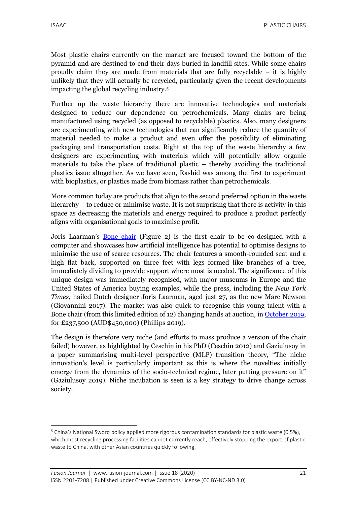Most plastic chairs currently on the market are focused toward the bottom of the pyramid and are destined to end their days buried in landfill sites. While some chairs proudly claim they are made from materials that are fully recyclable – it is highly unlikely that they will actually be recycled, particularly given the recent developments impacting the global recycling industry.[5](#page-3-0)

Further up the waste hierarchy there are innovative technologies and materials designed to reduce our dependence on petrochemicals. Many chairs are being manufactured using recycled (as opposed to recyclable) plastics. Also, many designers are experimenting with new technologies that can significantly reduce the quantity of material needed to make a product and even offer the possibility of eliminating packaging and transportation costs. Right at the top of the waste hierarchy a few designers are experimenting with materials which will potentially allow organic materials to take the place of traditional plastic – thereby avoiding the traditional plastics issue altogether. As we have seen, Rashid was among the first to experiment with bioplastics, or plastics made from biomass rather than petrochemicals.

More common today are products that align to the second preferred option in the waste hierarchy – to reduce or minimise waste. It is not surprising that there is activity in this space as decreasing the materials and energy required to produce a product perfectly aligns with organisational goals to maximise profit.

Joris Laarman's [Bone chair](https://www.jorislaarman.com/work/arm-chair/) (Figure 2) is the first chair to be co-designed with a computer and showcases how artificial intelligence has potential to optimise designs to minimise the use of scarce resources. The chair features a smooth-rounded seat and a high flat back, supported on three feet with legs formed like branches of a tree, immediately dividing to provide support where most is needed. The significance of this unique design was immediately recognised, with major museums in Europe and the United States of America buying examples, while the press, including the *New York Times*, hailed Dutch designer Joris Laarman, aged just 27, as the new Marc Newson (Giovannini 2017). The market was also quick to recognise this young talent with a Bone chair (from this limited edition of 12) changing hands at auction, in [October 2019,](https://www.phillips.com/detail/joris-laarman/UK050219/124) for £237,500 (AUD\$450,000) (Phillips 2019).

The design is therefore very niche (and efforts to mass produce a version of the chair failed) however, as highlighted by Ceschin in his PhD (Ceschin 2012) and Gaziulusoy in a paper summarising multi-level perspective (MLP) transition theory, "The niche innovation's level is particularly important as this is where the novelties initially emerge from the dynamics of the socio-technical regime, later putting pressure on it" (Gaziulusoy 2019). Niche incubation is seen is a key strategy to drive change across society.

<span id="page-3-0"></span> $5$  China's National Sword policy applied more rigorous contamination standards for plastic waste (0.5%), which most recycling processing facilities cannot currently reach, effectively stopping the export of plastic waste to China, with other Asian countries quickly following.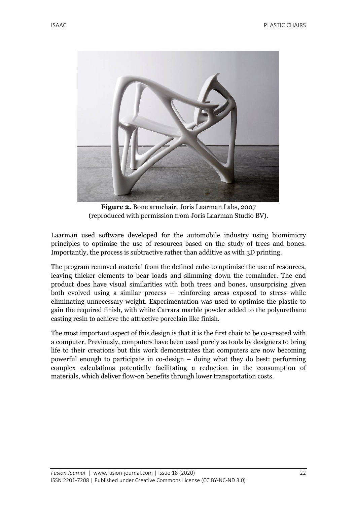

**Figure 2.** Bone armchair, Joris Laarman Labs, 2007 (reproduced with permission from Joris Laarman Studio BV).

Laarman used software developed for the automobile industry using biomimicry principles to optimise the use of resources based on the study of trees and bones. Importantly, the process is subtractive rather than additive as with 3D printing.

The program removed material from the defined cube to optimise the use of resources, leaving thicker elements to bear loads and slimming down the remainder. The end product does have visual similarities with both trees and bones, unsurprising given both evolved using a similar process – reinforcing areas exposed to stress while eliminating unnecessary weight. Experimentation was used to optimise the plastic to gain the required finish, with white Carrara marble powder added to the polyurethane casting resin to achieve the attractive porcelain like finish.

The most important aspect of this design is that it is the first chair to be co-created with a computer. Previously, computers have been used purely as tools by designers to bring life to their creations but this work demonstrates that computers are now becoming powerful enough to participate in co-design – doing what they do best: performing complex calculations potentially facilitating a reduction in the consumption of materials, which deliver flow-on benefits through lower transportation costs.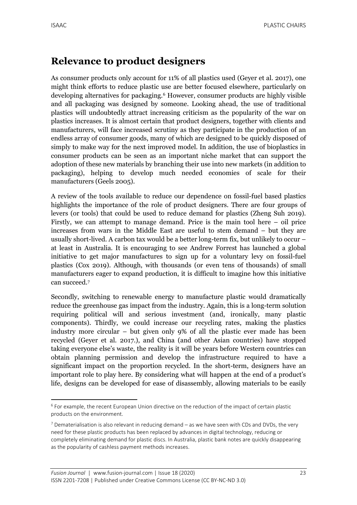#### **Relevance to product designers**

As consumer products only account for 11% of all plastics used (Geyer et al. 2017), one might think efforts to reduce plastic use are better focused elsewhere, particularly on developing alternatives for packaging.[6](#page-5-0) However, consumer products are highly visible and all packaging was designed by someone. Looking ahead, the use of traditional plastics will undoubtedly attract increasing criticism as the popularity of the war on plastics increases. It is almost certain that product designers, together with clients and manufacturers, will face increased scrutiny as they participate in the production of an endless array of consumer goods, many of which are designed to be quickly disposed of simply to make way for the next improved model. In addition, the use of bioplastics in consumer products can be seen as an important niche market that can support the adoption of these new materials by branching their use into new markets (in addition to packaging), helping to develop much needed economies of scale for their manufacturers (Geels 2005).

A review of the tools available to reduce our dependence on fossil-fuel based plastics highlights the importance of the role of product designers. There are four groups of levers (or tools) that could be used to reduce demand for plastics (Zheng Suh 2019). Firstly, we can attempt to manage demand. Price is the main tool here – oil price increases from wars in the Middle East are useful to stem demand – but they are usually short-lived. A carbon tax would be a better long-term fix, but unlikely to occur – at least in Australia. It is encouraging to see Andrew Forrest has launched a global initiative to get major manufactures to sign up for a voluntary levy on fossil-fuel plastics (Cox 2019). Although, with thousands (or even tens of thousands) of small manufacturers eager to expand production, it is difficult to imagine how this initiative can succeed.[7](#page-5-1)

Secondly, switching to renewable energy to manufacture plastic would dramatically reduce the greenhouse gas impact from the industry. Again, this is a long-term solution requiring political will and serious investment (and, ironically, many plastic components). Thirdly, we could increase our recycling rates, making the plastics industry more circular – but given only 9% of all the plastic ever made has been recycled (Geyer et al. 2017.), and China (and other Asian countries) have stopped taking everyone else's waste, the reality is it will be years before Western countries can obtain planning permission and develop the infrastructure required to have a significant impact on the proportion recycled. In the short-term, designers have an important role to play here. By considering what will happen at the end of a product's life, designs can be developed for ease of disassembly, allowing materials to be easily

<span id="page-5-0"></span><sup>&</sup>lt;sup>6</sup> For example, the recent European Union directive on the reduction of the impact of certain plastic products on the environment.

<span id="page-5-1"></span> $7$  Dematerialisation is also relevant in reducing demand  $-$  as we have seen with CDs and DVDs, the very need for these plastic products has been replaced by advances in digital technology, reducing or completely eliminating demand for plastic discs. In Australia, plastic bank notes are quickly disappearing as the popularity of cashless payment methods increases.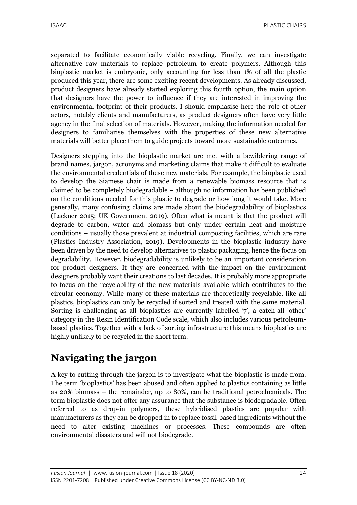ISAAC PLASTIC CHAIRS

separated to facilitate economically viable recycling. Finally, we can investigate alternative raw materials to replace petroleum to create polymers. Although this bioplastic market is embryonic, only accounting for less than 1% of all the plastic produced this year, there are some exciting recent developments. As already discussed, product designers have already started exploring this fourth option, the main option that designers have the power to influence if they are interested in improving the environmental footprint of their products. I should emphasise here the role of other actors, notably clients and manufacturers, as product designers often have very little agency in the final selection of materials. However, making the information needed for designers to familiarise themselves with the properties of these new alternative materials will better place them to guide projects toward more sustainable outcomes.

Designers stepping into the bioplastic market are met with a bewildering range of brand names, jargon, acronyms and marketing claims that make it difficult to evaluate the environmental credentials of these new materials. For example, the bioplastic used to develop the Siamese chair is made from a renewable biomass resource that is claimed to be completely biodegradable – although no information has been published on the conditions needed for this plastic to degrade or how long it would take. More generally, many confusing claims are made about the biodegradability of bioplastics (Lackner 2015; UK Government 2019). Often what is meant is that the product will degrade to carbon, water and biomass but only under certain heat and moisture conditions – usually those prevalent at industrial composting facilities, which are rare (Plastics Industry Association, 2019). Developments in the bioplastic industry have been driven by the need to develop alternatives to plastic packaging, hence the focus on degradability. However, biodegradability is unlikely to be an important consideration for product designers. If they are concerned with the impact on the environment designers probably want their creations to last decades. It is probably more appropriate to focus on the recyclability of the new materials available which contributes to the circular economy. While many of these materials are theoretically recyclable, like all plastics, bioplastics can only be recycled if sorted and treated with the same material. Sorting is challenging as all bioplastics are currently labelled  $\dot{\gamma}$ , a catch-all 'other' category in the Resin Identification Code scale, which also includes various petroleumbased plastics. Together with a lack of sorting infrastructure this means bioplastics are highly unlikely to be recycled in the short term.

## **Navigating the jargon**

A key to cutting through the jargon is to investigate what the bioplastic is made from. The term 'bioplastics' has been abused and often applied to plastics containing as little as 20% biomass – the remainder, up to 80%, can be traditional petrochemicals. The term bioplastic does not offer any assurance that the substance is biodegradable. Often referred to as drop-in polymers, these hybridised plastics are popular with manufacturers as they can be dropped in to replace fossil-based ingredients without the need to alter existing machines or processes. These compounds are often environmental disasters and will not biodegrade.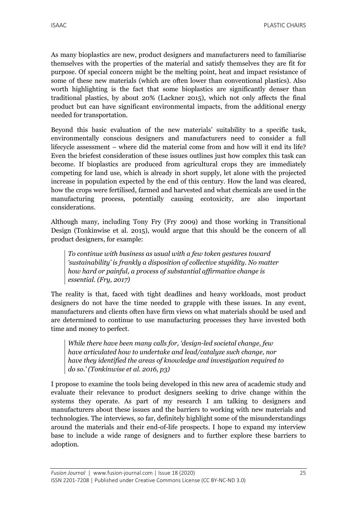As many bioplastics are new, product designers and manufacturers need to familiarise themselves with the properties of the material and satisfy themselves they are fit for purpose. Of special concern might be the melting point, heat and impact resistance of some of these new materials (which are often lower than conventional plastics). Also worth highlighting is the fact that some bioplastics are significantly denser than traditional plastics, by about 20% (Lackner 2015), which not only affects the final product but can have significant environmental impacts, from the additional energy needed for transportation.

Beyond this basic evaluation of the new materials' suitability to a specific task, environmentally conscious designers and manufacturers need to consider a full lifecycle assessment – where did the material come from and how will it end its life? Even the briefest consideration of these issues outlines just how complex this task can become. If bioplastics are produced from agricultural crops they are immediately competing for land use, which is already in short supply, let alone with the projected increase in population expected by the end of this century. How the land was cleared, how the crops were fertilised, farmed and harvested and what chemicals are used in the manufacturing process, potentially causing ecotoxicity, are also important considerations.

Although many, including Tony Fry (Fry 2009) and those working in Transitional Design (Tonkinwise et al. 2015), would argue that this should be the concern of all product designers, for example:

*To continue with business as usual with a few token gestures toward 'sustainability' is frankly a disposition of collective stupidity. No matter how hard or painful, a process of substantial affirmative change is essential. (Fry, 2017)*

The reality is that, faced with tight deadlines and heavy workloads, most product designers do not have the time needed to grapple with these issues. In any event, manufacturers and clients often have firm views on what materials should be used and are determined to continue to use manufacturing processes they have invested both time and money to perfect.

*While there have been many calls for, 'design-led societal change, few have articulated how to undertake and lead/catalyze such change, nor have they identified the areas of knowledge and investigation required to do so.' (Tonkinwise et al. 2016, p3)*

I propose to examine the tools being developed in this new area of academic study and evaluate their relevance to product designers seeking to drive change within the systems they operate. As part of my research I am talking to designers and manufacturers about these issues and the barriers to working with new materials and technologies. The interviews, so far, definitely highlight some of the misunderstandings around the materials and their end-of-life prospects. I hope to expand my interview base to include a wide range of designers and to further explore these barriers to adoption.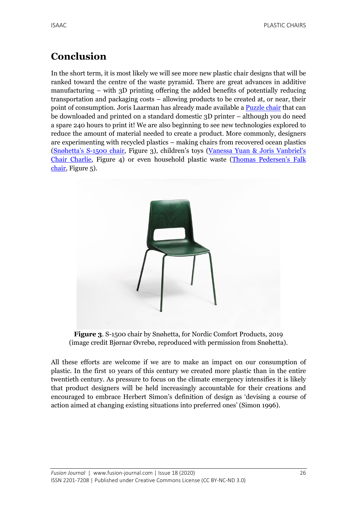## **Conclusion**

In the short term, it is most likely we will see more new plastic chair designs that will be ranked toward the centre of the waste pyramid. There are great advances in additive manufacturing – with 3D printing offering the added benefits of potentially reducing transportation and packaging costs – allowing products to be created at, or near, their point of consumption. Joris Laarman has already made available a **Puzzle chair** that can be downloaded and printed on a standard domestic 3D printer – although you do need a spare 240 hours to print it! We are also beginning to see new technologies explored to reduce the amount of material needed to create a product. More commonly, designers are experimenting with recycled plastics – making chairs from recovered ocean plastics [\(Snøhetta's S-1500 chair,](https://snohetta.com/projects/423-s-1500-revamping-an-icon-by-rethinking-industrial-recycling) Figure 3), children's toys [\(Vanessa Yuan & Joris Vanbriel's](https://www.ecobirdy.com/collections/kids-furniture/products/charlie-chair-ocean)  [Chair Charlie,](https://www.ecobirdy.com/collections/kids-furniture/products/charlie-chair-ocean) Figure 4) or even household plastic waste [\(Thomas Pedersen's Falk](https://houe.com/Products/indoor%20Chairs/Model/FALK%20with%20armrest?variantid=883)  [chair,](https://houe.com/Products/indoor%20Chairs/Model/FALK%20with%20armrest?variantid=883) Figure 5).



**Figure 3**. S-1500 chair by Snøhetta, for Nordic Comfort Products, 2019 (image credit Bjørnar Øvrebø, reproduced with permission from Snøhetta).

All these efforts are welcome if we are to make an impact on our consumption of plastic. In the first 10 years of this century we created more plastic than in the entire twentieth century. As pressure to focus on the climate emergency intensifies it is likely that product designers will be held increasingly accountable for their creations and encouraged to embrace Herbert Simon's definition of design as 'devising a course of action aimed at changing existing situations into preferred ones' (Simon 1996).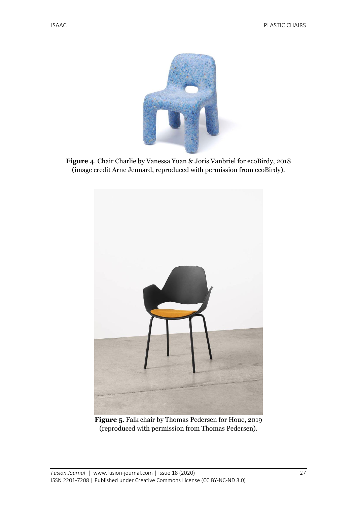

**Figure 4**. Chair Charlie by Vanessa Yuan & Joris Vanbriel for ecoBirdy, 2018 (image credit Arne Jennard, reproduced with permission from ecoBirdy).



**Figure 5**. Falk chair by Thomas Pedersen for Houe, 2019 (reproduced with permission from Thomas Pedersen).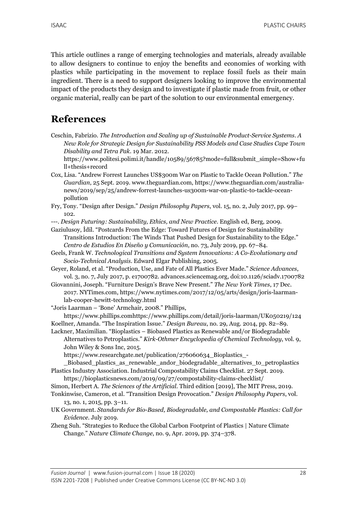This article outlines a range of emerging technologies and materials, already available to allow designers to continue to enjoy the benefits and economies of working with plastics while participating in the movement to replace fossil fuels as their main ingredient. There is a need to support designers looking to improve the environmental impact of the products they design and to investigate if plastic made from fruit, or other organic material, really can be part of the solution to our environmental emergency.

#### **References**

Ceschin, Fabrizio. *The Introduction and Scaling up of Sustainable Product-Service Systems. A New Role for Strategic Design for Sustainability PSS Models and Case Studies Cape Town Disability and Tetra Pak.* 19 Mar. 2012.

https://www.politesi.polimi.it/handle/10589/56785?mode=full&submit\_simple=Show+fu ll+thesis+record

- Cox, Lisa. "Andrew Forrest Launches US\$300m War on Plastic to Tackle Ocean Pollution." *The Guardian*, 25 Sept. 2019. www.theguardian.com, https://www.theguardian.com/australianews/2019/sep/25/andrew-forrest-launches-us300m-war-on-plastic-to-tackle-oceanpollution
- Fry, Tony. "Design after Design." *Design Philosophy Papers*, vol. 15, no. 2, July 2017, pp. 99– 102.
- ---. *Design Futuring: Sustainability, Ethics, and New Practice*. English ed, Berg, 2009.
- Gaziulusoy, İdil. "Postcards From the Edge: Toward Futures of Design for Sustainability Transitions Introduction: The Winds That Pushed Design for Sustainability to the Edge." *Centro de Estudios En Diseño y Comunicación*, no. 73, July 2019, pp. 67–84.
- Geels, Frank W. *Technological Transitions and System Innovations: A Co-Evolutionary and Socio-Technical Analysis*. Edward Elgar Publishing, 2005.
- Geyer, Roland, et al. "Production, Use, and Fate of All Plastics Ever Made." *Science Advances*, vol. 3, no. 7, July 2017, p. e1700782. advances.sciencemag.org, doi:10.1126/sciadv.1700782
- Giovannini, Joseph. "Furniture Design's Brave New Present." *The New York Times*, 17 Dec. 2017. NYTimes.com, https://www.nytimes.com/2017/12/05/arts/design/joris-laarmanlab-cooper-hewitt-technology.html

"Joris Laarman – 'Bone' Armchair, 2008." Phillips,

https://www.phillips.comhttps://www.phillips.com/detail/joris-laarman/UK050219/124 Koellner, Amanda. "The Inspiration Issue." *Design Bureau*, no. 29, Aug. 2014, pp. 82–89.

Lackner, Maximilian. "Bioplastics – Biobased Plastics as Renewable and/or Biodegradable Alternatives to Petroplastics." *Kirk-Othmer Encyclopedia of Chemical Technology*, vol. 9, John Wiley & Sons Inc, 2015.

https://www.researchgate.net/publication/276060634\_Bioplastics\_-

\_Biobased\_plastics\_as\_renewable\_andor\_biodegradable\_alternatives\_to\_petroplastics Plastics Industry Association. Industrial Compostability Claims Checklist. 27 Sept. 2019.

- https://bioplasticsnews.com/2019/09/27/compostability-claims-checklist/
- Simon, Herbert A. *The Sciences of the Artificial*. Third edition [2019], The MIT Press, 2019.
- Tonkinwise, Cameron, et al. "Transition Design Provocation." *Design Philosophy Papers*, vol. 13, no. 1, 2015, pp. 3–11.
- UK Government. *Standards for Bio-Based, Biodegradable, and Compostable Plastics: Call for Evidence*. July 2019.
- Zheng Suh. "Strategies to Reduce the Global Carbon Footprint of Plastics | Nature Climate Change." *Nature Climate Change*, no. 9, Apr. 2019, pp. 374–378.